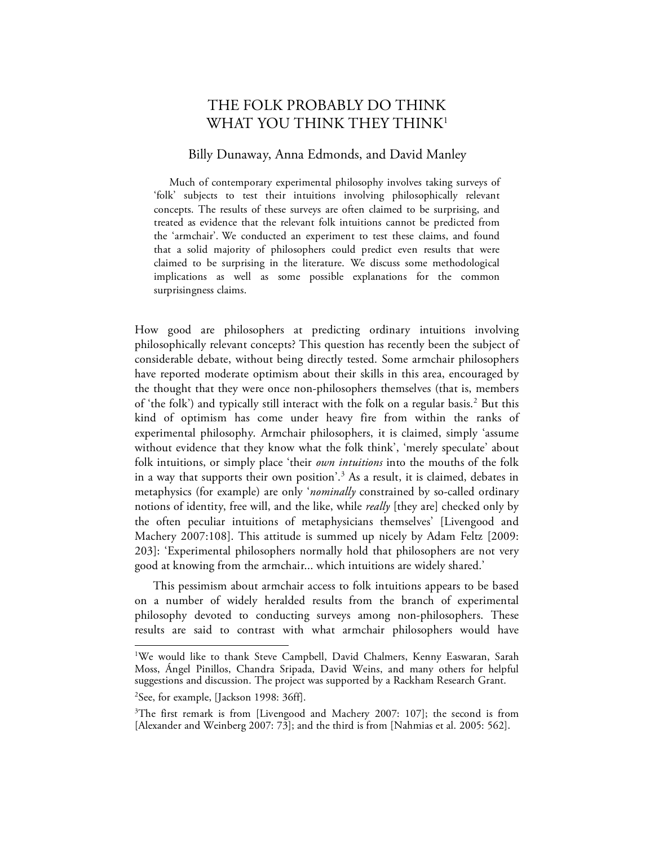# THE FOLK PROBABLY DO THINK WHAT YOU THINK THEY THINK<sup>1</sup>

# Billy Dunaway, Anna Edmonds, and David Manley

Much of contemporary experimental philosophy involves taking surveys of 'folk' subjects to test their intuitions involving philosophically relevant concepts. The results of these surveys are often claimed to be surprising, and treated as evidence that the relevant folk intuitions cannot be predicted from the 'armchair'. We conducted an experiment to test these claims, and found that a solid majority of philosophers could predict even results that were claimed to be surprising in the literature. We discuss some methodological implications as well as some possible explanations for the common surprisingness claims.

How good are philosophers at predicting ordinary intuitions involving philosophically relevant concepts? This question has recently been the subject of considerable debate, without being directly tested. Some armchair philosophers have reported moderate optimism about their skills in this area, encouraged by the thought that they were once non-philosophers themselves (that is, members of 'the folk') and typically still interact with the folk on a regular basis.<sup>2</sup> But this kind of optimism has come under heavy fire from within the ranks of experimental philosophy. Armchair philosophers, it is claimed, simply 'assume without evidence that they know what the folk think', 'merely speculate' about folk intuitions, or simply place 'their *own intuitions* into the mouths of the folk in a way that supports their own position'. 3 As a result, it is claimed, debates in metaphysics (for example) are only '*nominally* constrained by so-called ordinary notions of identity, free will, and the like, while *really* [they are] checked only by the often peculiar intuitions of metaphysicians themselves' [Livengood and Machery 2007:108]. This attitude is summed up nicely by Adam Feltz [2009: 203]: 'Experimental philosophers normally hold that philosophers are not very good at knowing from the armchair... which intuitions are widely shared.'

 This pessimism about armchair access to folk intuitions appears to be based on a number of widely heralded results from the branch of experimental philosophy devoted to conducting surveys among non-philosophers. These results are said to contrast with what armchair philosophers would have

1 We would like to thank Steve Campbell, David Chalmers, Kenny Easwaran, Sarah Moss, Ángel Pinillos, Chandra Sripada, David Weins, and many others for helpful suggestions and discussion. The project was supported by a Rackham Research Grant. 2 See, for example, [Jackson 1998: 36ff].

<sup>&</sup>lt;sup>3</sup>The first remark is from [Livengood and Machery 2007: 107]; the second is from [Alexander and Weinberg 2007: 73]; and the third is from [Nahmias et al. 2005: 562].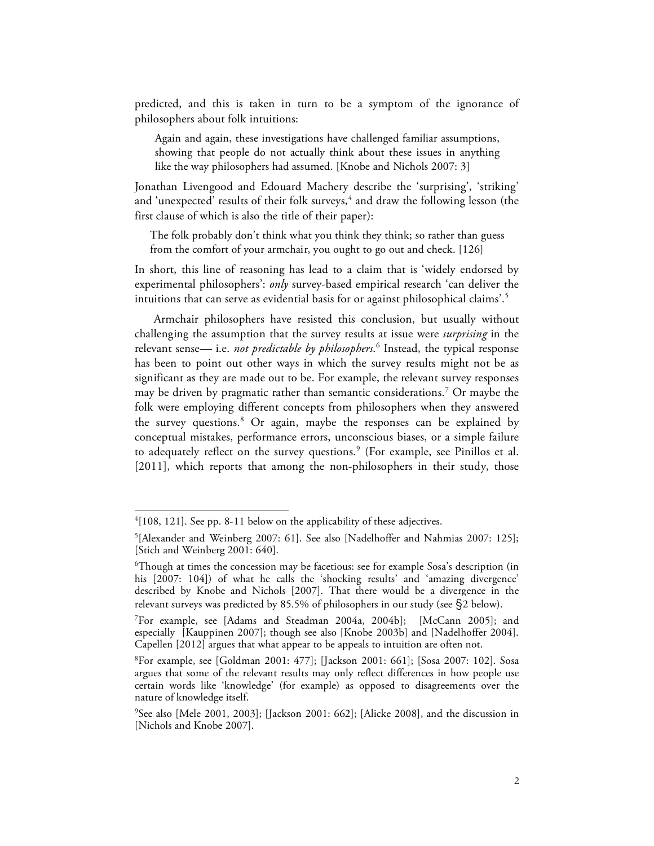predicted, and this is taken in turn to be a symptom of the ignorance of philosophers about folk intuitions:

Again and again, these investigations have challenged familiar assumptions, showing that people do not actually think about these issues in anything like the way philosophers had assumed. [Knobe and Nichols 2007: 3]

Jonathan Livengood and Edouard Machery describe the 'surprising', 'striking' and 'unexpected' results of their folk surveys, $^4$  and draw the following lesson (the first clause of which is also the title of their paper):

The folk probably don't think what you think they think; so rather than guess from the comfort of your armchair, you ought to go out and check. [126]

In short, this line of reasoning has lead to a claim that is 'widely endorsed by experimental philosophers': *only* survey-based empirical research 'can deliver the intuitions that can serve as evidential basis for or against philosophical claims'. 5

Armchair philosophers have resisted this conclusion, but usually without challenging the assumption that the survey results at issue were *surprising* in the relevant sense*—* i.e. *not predictable by philosophers*. 6 Instead, the typical response has been to point out other ways in which the survey results might not be as significant as they are made out to be. For example, the relevant survey responses may be driven by pragmatic rather than semantic considerations.7 Or maybe the folk were employing different concepts from philosophers when they answered the survey questions.<sup>8</sup> Or again, maybe the responses can be explained by conceptual mistakes, performance errors, unconscious biases, or a simple failure to adequately reflect on the survey questions.<sup>9</sup> (For example, see Pinillos et al. [2011], which reports that among the non-philosophers in their study, those

<sup>4</sup> [108, 121]. See pp. 8-11 below on the applicability of these adjectives.

<sup>5</sup> [Alexander and Weinberg 2007: 61]. See also [Nadelhoffer and Nahmias 2007: 125]; [Stich and Weinberg 2001: 640].

<sup>6</sup> Though at times the concession may be facetious: see for example Sosa's description (in his [2007: 104]) of what he calls the 'shocking results' and 'amazing divergence' described by Knobe and Nichols [2007]. That there would be a divergence in the relevant surveys was predicted by 85.5% of philosophers in our study (see §2 below).

<sup>7</sup> For example, see [Adams and Steadman 2004a, 2004b]; [McCann 2005]; and especially [Kauppinen 2007]; though see also [Knobe 2003b] and [Nadelhoffer 2004]. Capellen [2012] argues that what appear to be appeals to intuition are often not.

<sup>8</sup> For example, see [Goldman 2001: 477]; [Jackson 2001: 661]; [Sosa 2007: 102]. Sosa argues that some of the relevant results may only reflect differences in how people use certain words like 'knowledge' (for example) as opposed to disagreements over the nature of knowledge itself.

<sup>9</sup> See also [Mele 2001, 2003]; [Jackson 2001: 662]; [Alicke 2008], and the discussion in [Nichols and Knobe 2007].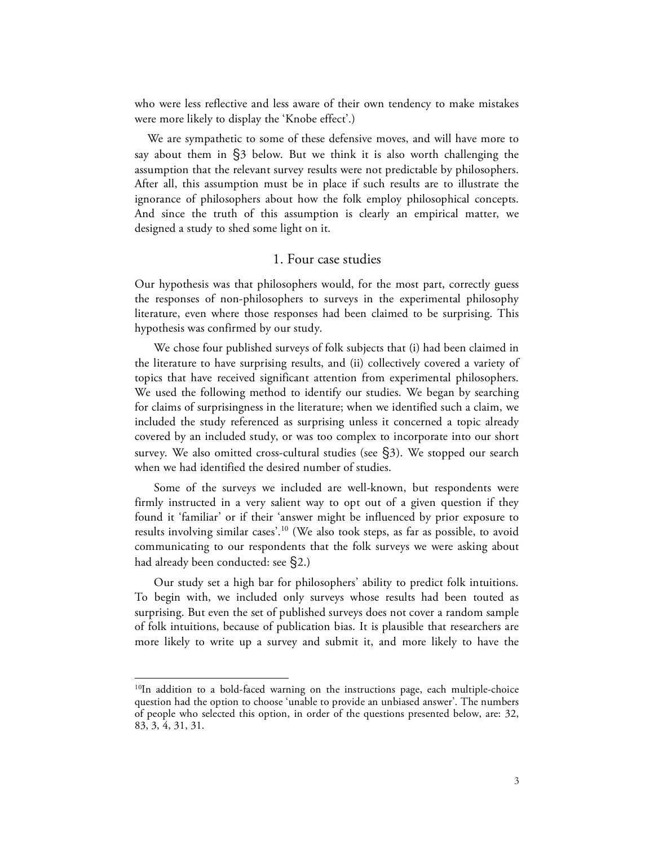who were less reflective and less aware of their own tendency to make mistakes were more likely to display the 'Knobe effect'.)

 We are sympathetic to some of these defensive moves, and will have more to say about them in §3 below. But we think it is also worth challenging the assumption that the relevant survey results were not predictable by philosophers. After all, this assumption must be in place if such results are to illustrate the ignorance of philosophers about how the folk employ philosophical concepts. And since the truth of this assumption is clearly an empirical matter, we designed a study to shed some light on it.

# 1. Four case studies

Our hypothesis was that philosophers would, for the most part, correctly guess the responses of non-philosophers to surveys in the experimental philosophy literature, even where those responses had been claimed to be surprising. This hypothesis was confirmed by our study.

We chose four published surveys of folk subjects that (i) had been claimed in the literature to have surprising results, and (ii) collectively covered a variety of topics that have received significant attention from experimental philosophers. We used the following method to identify our studies. We began by searching for claims of surprisingness in the literature; when we identified such a claim, we included the study referenced as surprising unless it concerned a topic already covered by an included study, or was too complex to incorporate into our short survey. We also omitted cross-cultural studies (see §3). We stopped our search when we had identified the desired number of studies.

Some of the surveys we included are well-known, but respondents were firmly instructed in a very salient way to opt out of a given question if they found it 'familiar' or if their 'answer might be influenced by prior exposure to results involving similar cases'. 10 (We also took steps, as far as possible, to avoid communicating to our respondents that the folk surveys we were asking about had already been conducted: see §2.)

Our study set a high bar for philosophers' ability to predict folk intuitions. To begin with, we included only surveys whose results had been touted as surprising. But even the set of published surveys does not cover a random sample of folk intuitions, because of publication bias. It is plausible that researchers are more likely to write up a survey and submit it, and more likely to have the

<sup>&</sup>lt;sup>10</sup>In addition to a bold-faced warning on the instructions page, each multiple-choice question had the option to choose 'unable to provide an unbiased answer'. The numbers of people who selected this option, in order of the questions presented below, are: 32, 83, 3, 4, 31, 31.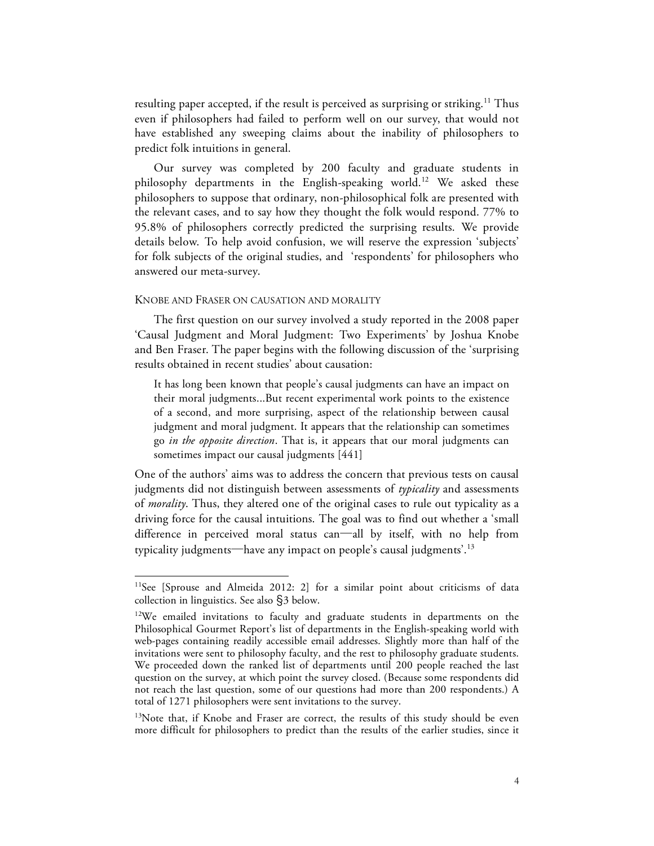resulting paper accepted, if the result is perceived as surprising or striking.<sup>11</sup> Thus even if philosophers had failed to perform well on our survey, that would not have established any sweeping claims about the inability of philosophers to predict folk intuitions in general.

Our survey was completed by 200 faculty and graduate students in philosophy departments in the English-speaking world.12 We asked these philosophers to suppose that ordinary, non-philosophical folk are presented with the relevant cases, and to say how they thought the folk would respond. 77% to 95.8% of philosophers correctly predicted the surprising results. We provide details below. To help avoid confusion, we will reserve the expression 'subjects' for folk subjects of the original studies, and 'respondents' for philosophers who answered our meta-survey.

### KNOBE AND FRASER ON CAUSATION AND MORALITY

The first question on our survey involved a study reported in the 2008 paper 'Causal Judgment and Moral Judgment: Two Experiments' by Joshua Knobe and Ben Fraser. The paper begins with the following discussion of the 'surprising results obtained in recent studies' about causation:

It has long been known that people's causal judgments can have an impact on their moral judgments...But recent experimental work points to the existence of a second, and more surprising, aspect of the relationship between causal judgment and moral judgment. It appears that the relationship can sometimes go *in the opposite direction*. That is, it appears that our moral judgments can sometimes impact our causal judgments [441]

One of the authors' aims was to address the concern that previous tests on causal judgments did not distinguish between assessments of *typicality* and assessments of *morality*. Thus, they altered one of the original cases to rule out typicality as a driving force for the causal intuitions. The goal was to find out whether a 'small difference in perceived moral status can-all by itself, with no help from typicality judgments—have any impact on people's causal judgments'. <sup>13</sup>

<sup>&</sup>lt;sup>11</sup>See [Sprouse and Almeida 2012: 2] for a similar point about criticisms of data collection in linguistics. See also §3 below.

<sup>&</sup>lt;sup>12</sup>We emailed invitations to faculty and graduate students in departments on the Philosophical Gourmet Report's list of departments in the English-speaking world with web-pages containing readily accessible email addresses. Slightly more than half of the invitations were sent to philosophy faculty, and the rest to philosophy graduate students. We proceeded down the ranked list of departments until 200 people reached the last question on the survey, at which point the survey closed. (Because some respondents did not reach the last question, some of our questions had more than 200 respondents.) A total of 1271 philosophers were sent invitations to the survey.

<sup>&</sup>lt;sup>13</sup>Note that, if Knobe and Fraser are correct, the results of this study should be even more difficult for philosophers to predict than the results of the earlier studies, since it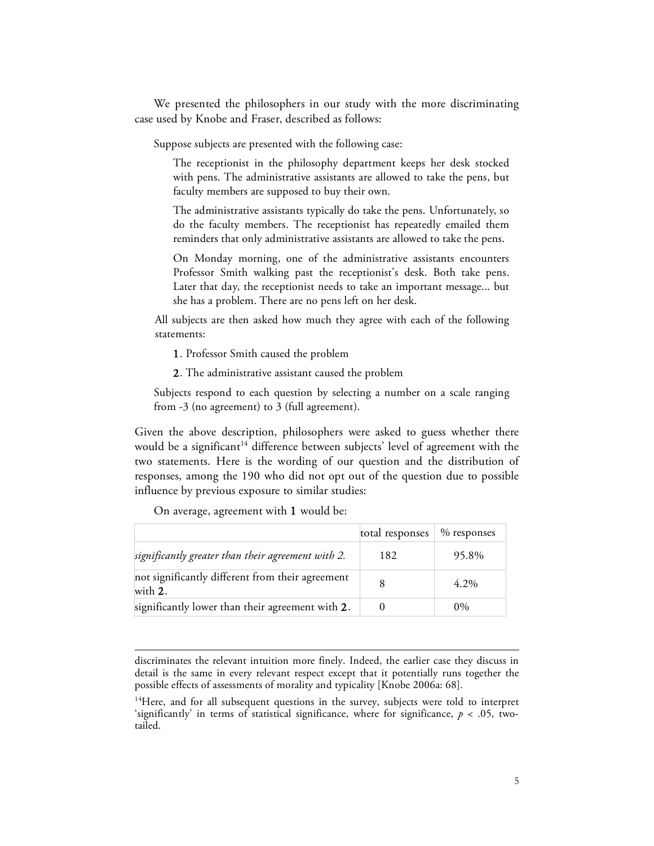We presented the philosophers in our study with the more discriminating case used by Knobe and Fraser, described as follows:

Suppose subjects are presented with the following case:

The receptionist in the philosophy department keeps her desk stocked with pens. The administrative assistants are allowed to take the pens, but faculty members are supposed to buy their own.

The administrative assistants typically do take the pens. Unfortunately, so do the faculty members. The receptionist has repeatedly emailed them reminders that only administrative assistants are allowed to take the pens.

On Monday morning, one of the administrative assistants encounters Professor Smith walking past the receptionist's desk. Both take pens. Later that day, the receptionist needs to take an important message... but she has a problem. There are no pens left on her desk.

All subjects are then asked how much they agree with each of the following statements:

- 1. Professor Smith caused the problem
- 2. The administrative assistant caused the problem

Subjects respond to each question by selecting a number on a scale ranging from -3 (no agreement) to 3 (full agreement).

Given the above description, philosophers were asked to guess whether there would be a significant<sup>14</sup> difference between subjects' level of agreement with the two statements. Here is the wording of our question and the distribution of responses, among the 190 who did not opt out of the question due to possible influence by previous exposure to similar studies:

On average, agreement with 1 would be:

|                                                               | total responses | $%$ responses |
|---------------------------------------------------------------|-----------------|---------------|
| significantly greater than their agreement with 2.            | 182             | 95.8%         |
| not significantly different from their agreement<br>with $2.$ |                 | $4.2\%$       |
| significantly lower than their agreement with 2.              |                 | $0\%$         |

discriminates the relevant intuition more finely. Indeed, the earlier case they discuss in detail is the same in every relevant respect except that it potentially runs together the possible effects of assessments of morality and typicality [Knobe 2006a: 68].

 $14$ Here, and for all subsequent questions in the survey, subjects were told to interpret 'significantly' in terms of statistical significance, where for significance, *p* < .05, twotailed.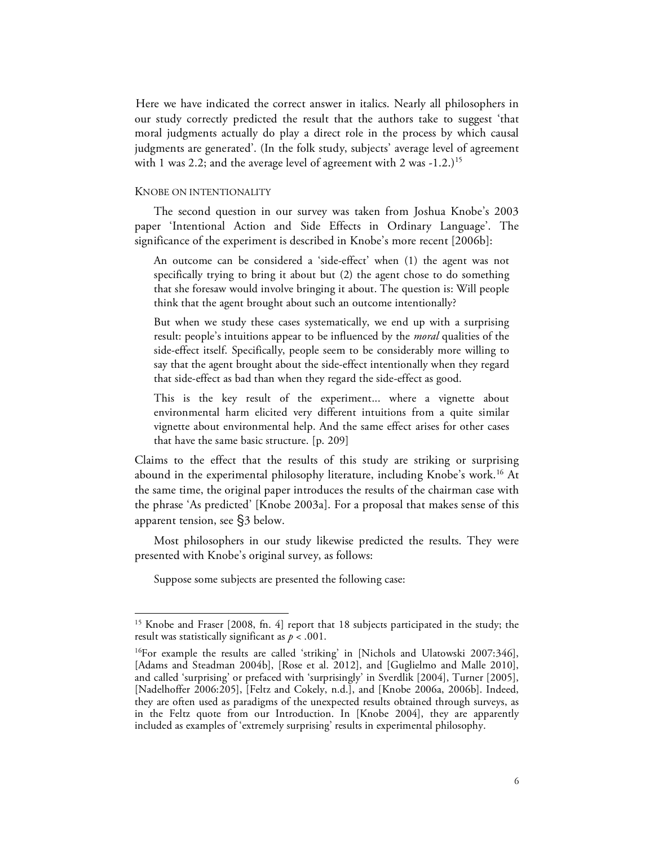Here we have indicated the correct answer in italics. Nearly all philosophers in our study correctly predicted the result that the authors take to suggest 'that moral judgments actually do play a direct role in the process by which causal judgments are generated'. (In the folk study, subjects' average level of agreement with 1 was 2.2; and the average level of agreement with 2 was  $-1.2$ .)<sup>15</sup>

#### KNOBE ON INTENTIONALITY

The second question in our survey was taken from Joshua Knobe's 2003 paper 'Intentional Action and Side Effects in Ordinary Language'. The significance of the experiment is described in Knobe's more recent [2006b]:

An outcome can be considered a 'side-effect' when (1) the agent was not specifically trying to bring it about but (2) the agent chose to do something that she foresaw would involve bringing it about. The question is: Will people think that the agent brought about such an outcome intentionally?

But when we study these cases systematically, we end up with a surprising result: people's intuitions appear to be influenced by the *moral* qualities of the side-effect itself. Specifically, people seem to be considerably more willing to say that the agent brought about the side-effect intentionally when they regard that side-effect as bad than when they regard the side-effect as good.

This is the key result of the experiment... where a vignette about environmental harm elicited very different intuitions from a quite similar vignette about environmental help. And the same effect arises for other cases that have the same basic structure. [p. 209]

Claims to the effect that the results of this study are striking or surprising abound in the experimental philosophy literature, including Knobe's work.<sup>16</sup> At the same time, the original paper introduces the results of the chairman case with the phrase 'As predicted' [Knobe 2003a]. For a proposal that makes sense of this apparent tension, see §3 below.

Most philosophers in our study likewise predicted the results. They were presented with Knobe's original survey, as follows:

Suppose some subjects are presented the following case:

<sup>&</sup>lt;sup>15</sup> Knobe and Fraser [2008, fn. 4] report that 18 subjects participated in the study; the result was statistically significant as *p* < .001.

<sup>&</sup>lt;sup>16</sup>For example the results are called 'striking' in [Nichols and Ulatowski 2007:346], [Adams and Steadman 2004b], [Rose et al. 2012], and [Guglielmo and Malle 2010], and called 'surprising' or prefaced with 'surprisingly' in Sverdlik [2004], Turner [2005], [Nadelhoffer 2006:205], [Feltz and Cokely, n.d.], and [Knobe 2006a, 2006b]. Indeed, they are often used as paradigms of the unexpected results obtained through surveys, as in the Feltz quote from our Introduction. In [Knobe 2004], they are apparently included as examples of 'extremely surprising' results in experimental philosophy.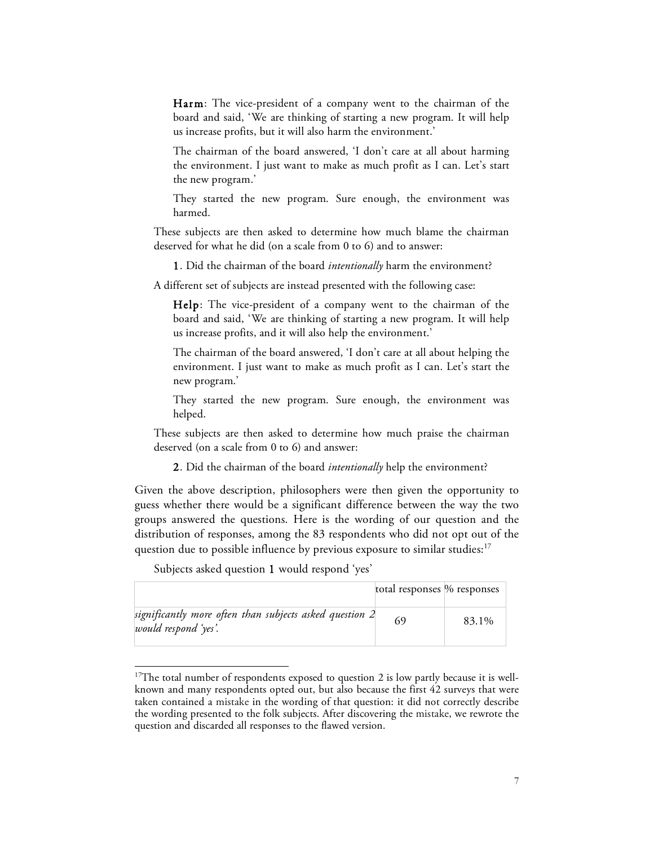Harm: The vice-president of a company went to the chairman of the board and said, 'We are thinking of starting a new program. It will help us increase profits, but it will also harm the environment.'

The chairman of the board answered, 'I don't care at all about harming the environment. I just want to make as much profit as I can. Let's start the new program.'

They started the new program. Sure enough, the environment was harmed.

These subjects are then asked to determine how much blame the chairman deserved for what he did (on a scale from 0 to 6) and to answer:

1. Did the chairman of the board *intentionally* harm the environment?

A different set of subjects are instead presented with the following case:

Help: The vice-president of a company went to the chairman of the board and said, 'We are thinking of starting a new program. It will help us increase profits, and it will also help the environment.'

The chairman of the board answered, 'I don't care at all about helping the environment. I just want to make as much profit as I can. Let's start the new program.'

They started the new program. Sure enough, the environment was helped.

These subjects are then asked to determine how much praise the chairman deserved (on a scale from 0 to 6) and answer:

2. Did the chairman of the board *intentionally* help the environment?

Given the above description, philosophers were then given the opportunity to guess whether there would be a significant difference between the way the two groups answered the questions. Here is the wording of our question and the distribution of responses, among the 83 respondents who did not opt out of the question due to possible influence by previous exposure to similar studies: $17$ 

Subjects asked question 1 would respond 'yes'

|                                                                                 | total responses % responses |       |
|---------------------------------------------------------------------------------|-----------------------------|-------|
| significantly more often than subjects asked question 2<br>would respond 'yes'. | 69                          | 83.1% |

<sup>&</sup>lt;sup>17</sup>The total number of respondents exposed to question 2 is low partly because it is wellknown and many respondents opted out, but also because the first 42 surveys that were taken contained a mistake in the wording of that question: it did not correctly describe the wording presented to the folk subjects. After discovering the mistake, we rewrote the question and discarded all responses to the flawed version.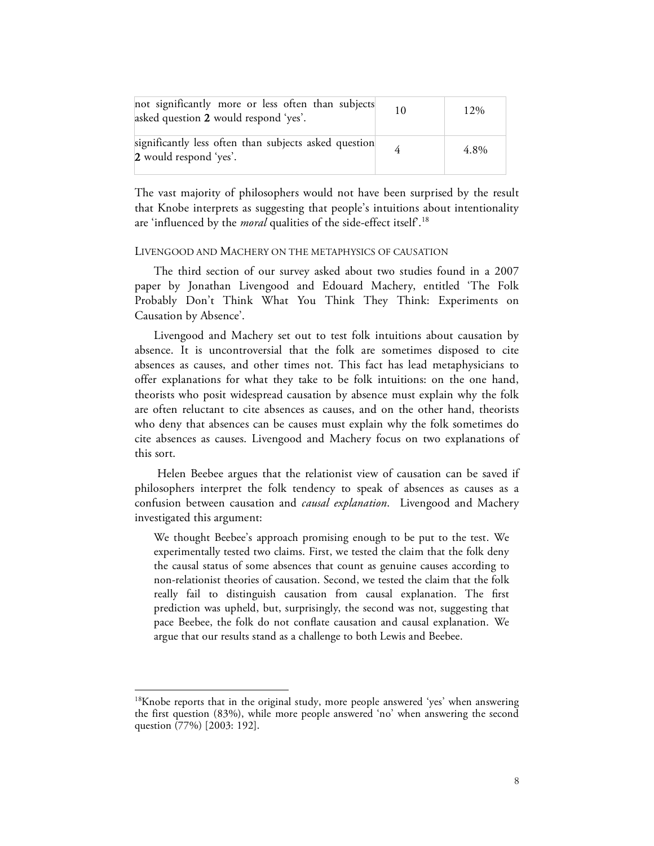| not significantly more or less often than subjects<br>asked question 2 would respond 'yes'. | 10 | 12%  |
|---------------------------------------------------------------------------------------------|----|------|
| significantly less often than subjects asked question<br>2 would respond 'yes'.             |    | 4.8% |

The vast majority of philosophers would not have been surprised by the result that Knobe interprets as suggesting that people's intuitions about intentionality are 'influenced by the *moral* qualities of the side-effect itself<sup>18</sup>.

### LIVENGOOD AND MACHERY ON THE METAPHYSICS OF CAUSATION

The third section of our survey asked about two studies found in a 2007 paper by Jonathan Livengood and Edouard Machery, entitled 'The Folk Probably Don't Think What You Think They Think: Experiments on Causation by Absence'.

Livengood and Machery set out to test folk intuitions about causation by absence. It is uncontroversial that the folk are sometimes disposed to cite absences as causes, and other times not. This fact has lead metaphysicians to offer explanations for what they take to be folk intuitions: on the one hand, theorists who posit widespread causation by absence must explain why the folk are often reluctant to cite absences as causes, and on the other hand, theorists who deny that absences can be causes must explain why the folk sometimes do cite absences as causes. Livengood and Machery focus on two explanations of this sort.

 Helen Beebee argues that the relationist view of causation can be saved if philosophers interpret the folk tendency to speak of absences as causes as a confusion between causation and *causal explanation*. Livengood and Machery investigated this argument:

We thought Beebee's approach promising enough to be put to the test. We experimentally tested two claims. First, we tested the claim that the folk deny the causal status of some absences that count as genuine causes according to non-relationist theories of causation. Second, we tested the claim that the folk really fail to distinguish causation from causal explanation. The first prediction was upheld, but, surprisingly, the second was not, suggesting that pace Beebee, the folk do not conflate causation and causal explanation. We argue that our results stand as a challenge to both Lewis and Beebee.

<sup>&</sup>lt;sup>18</sup>Knobe reports that in the original study, more people answered 'yes' when answering the first question (83%), while more people answered 'no' when answering the second question (77%) [2003: 192].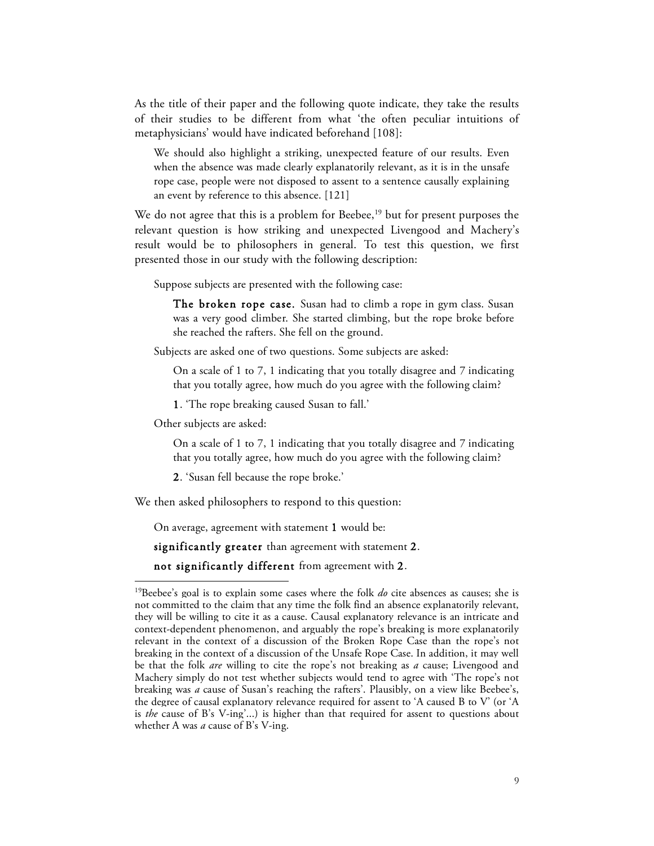As the title of their paper and the following quote indicate, they take the results of their studies to be different from what 'the often peculiar intuitions of metaphysicians' would have indicated beforehand [108]:

We should also highlight a striking, unexpected feature of our results. Even when the absence was made clearly explanatorily relevant, as it is in the unsafe rope case, people were not disposed to assent to a sentence causally explaining an event by reference to this absence. [121]

We do not agree that this is a problem for Beebee, $^{19}$  but for present purposes the relevant question is how striking and unexpected Livengood and Machery's result would be to philosophers in general. To test this question, we first presented those in our study with the following description:

Suppose subjects are presented with the following case:

The broken rope case. Susan had to climb a rope in gym class. Susan was a very good climber. She started climbing, but the rope broke before she reached the rafters. She fell on the ground.

Subjects are asked one of two questions. Some subjects are asked:

On a scale of 1 to 7, 1 indicating that you totally disagree and 7 indicating that you totally agree, how much do you agree with the following claim?

1. 'The rope breaking caused Susan to fall.'

Other subjects are asked:

On a scale of 1 to 7, 1 indicating that you totally disagree and 7 indicating that you totally agree, how much do you agree with the following claim?

2. 'Susan fell because the rope broke.'

We then asked philosophers to respond to this question:

On average, agreement with statement 1 would be:

significantly greater than agreement with statement 2.

not significantly different from agreement with 2.

<sup>19</sup>Beebee's goal is to explain some cases where the folk *do* cite absences as causes; she is not committed to the claim that any time the folk find an absence explanatorily relevant, they will be willing to cite it as a cause. Causal explanatory relevance is an intricate and context-dependent phenomenon, and arguably the rope's breaking is more explanatorily relevant in the context of a discussion of the Broken Rope Case than the rope's not breaking in the context of a discussion of the Unsafe Rope Case. In addition, it may well be that the folk *are* willing to cite the rope's not breaking as *a* cause; Livengood and Machery simply do not test whether subjects would tend to agree with 'The rope's not breaking was *a* cause of Susan's reaching the rafters'. Plausibly, on a view like Beebee's, the degree of causal explanatory relevance required for assent to 'A caused B to V' (or 'A is *the* cause of B's V-ing'...) is higher than that required for assent to questions about whether A was *a* cause of B's V-ing.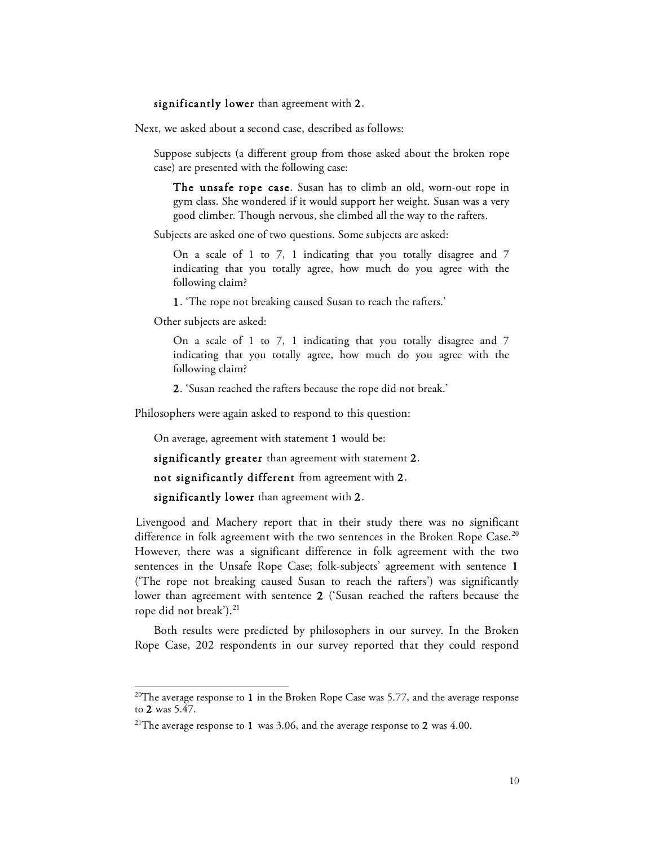#### significantly lower than agreement with 2.

Next, we asked about a second case, described as follows:

Suppose subjects (a different group from those asked about the broken rope case) are presented with the following case:

The unsafe rope case. Susan has to climb an old, worn-out rope in gym class. She wondered if it would support her weight. Susan was a very good climber. Though nervous, she climbed all the way to the rafters.

Subjects are asked one of two questions. Some subjects are asked:

On a scale of 1 to 7, 1 indicating that you totally disagree and 7 indicating that you totally agree, how much do you agree with the following claim?

1. 'The rope not breaking caused Susan to reach the rafters.'

Other subjects are asked:

On a scale of 1 to 7, 1 indicating that you totally disagree and 7 indicating that you totally agree, how much do you agree with the following claim?

2. 'Susan reached the rafters because the rope did not break.'

Philosophers were again asked to respond to this question:

On average, agreement with statement 1 would be:

significantly greater than agreement with statement 2.

not significantly different from agreement with 2.

significantly lower than agreement with 2.

Livengood and Machery report that in their study there was no significant difference in folk agreement with the two sentences in the Broken Rope Case.<sup>20</sup> However, there was a significant difference in folk agreement with the two sentences in the Unsafe Rope Case; folk-subjects' agreement with sentence 1 ('The rope not breaking caused Susan to reach the rafters') was significantly lower than agreement with sentence 2 ('Susan reached the rafters because the rope did not break').<sup>21</sup>

Both results were predicted by philosophers in our survey. In the Broken Rope Case, 202 respondents in our survey reported that they could respond

<sup>&</sup>lt;sup>20</sup>The average response to 1 in the Broken Rope Case was 5.77, and the average response to 2 was 5.47.

<sup>&</sup>lt;sup>21</sup>The average response to 1 was 3.06, and the average response to 2 was 4.00.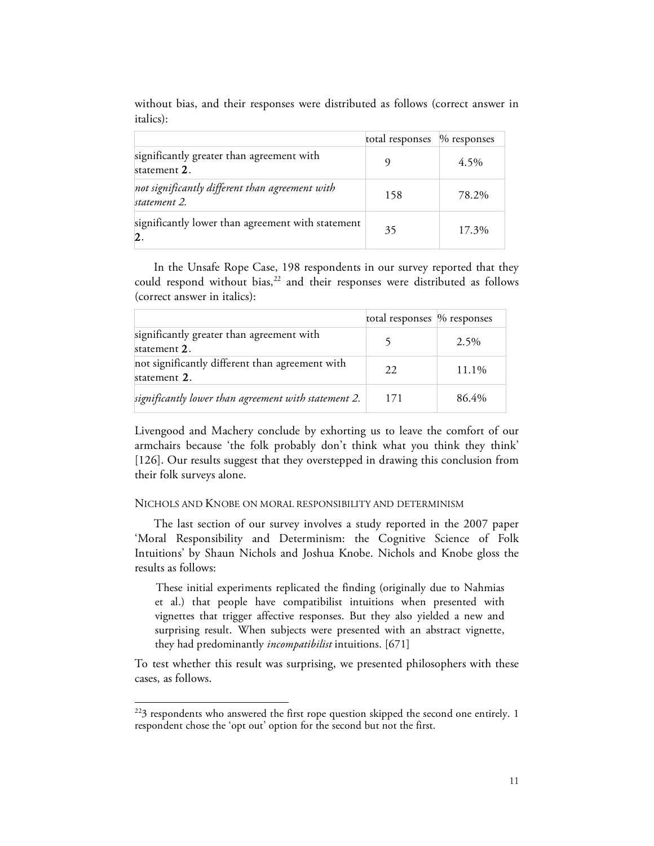|                                                                 | total responses | $%$ responses |
|-----------------------------------------------------------------|-----------------|---------------|
| significantly greater than agreement with<br>statement 2.       |                 | $4.5\%$       |
| not significantly different than agreement with<br>statement 2. | 158             | 78.2%         |
| significantly lower than agreement with statement               | 35              | 17.3%         |

without bias, and their responses were distributed as follows (correct answer in italics):

In the Unsafe Rope Case, 198 respondents in our survey reported that they could respond without bias, $22$  and their responses were distributed as follows (correct answer in italics):

|                                                                 | total responses % responses |       |
|-----------------------------------------------------------------|-----------------------------|-------|
| significantly greater than agreement with<br>statement 2.       |                             | 2.5%  |
| not significantly different than agreement with<br>statement 2. | 22                          | 11.1% |
| significantly lower than agreement with statement 2.            | 171                         | 86.4% |

Livengood and Machery conclude by exhorting us to leave the comfort of our armchairs because 'the folk probably don't think what you think they think' [126]. Our results suggest that they overstepped in drawing this conclusion from their folk surveys alone.

#### NICHOLS AND KNOBE ON MORAL RESPONSIBILITY AND DETERMINISM

The last section of our survey involves a study reported in the 2007 paper 'Moral Responsibility and Determinism: the Cognitive Science of Folk Intuitions' by Shaun Nichols and Joshua Knobe. Nichols and Knobe gloss the results as follows:

These initial experiments replicated the finding (originally due to Nahmias et al.) that people have compatibilist intuitions when presented with vignettes that trigger affective responses. But they also yielded a new and surprising result. When subjects were presented with an abstract vignette, they had predominantly *incompatibilist* intuitions. [671]

To test whether this result was surprising, we presented philosophers with these cases, as follows.

 $223$  respondents who answered the first rope question skipped the second one entirely. 1 respondent chose the 'opt out' option for the second but not the first.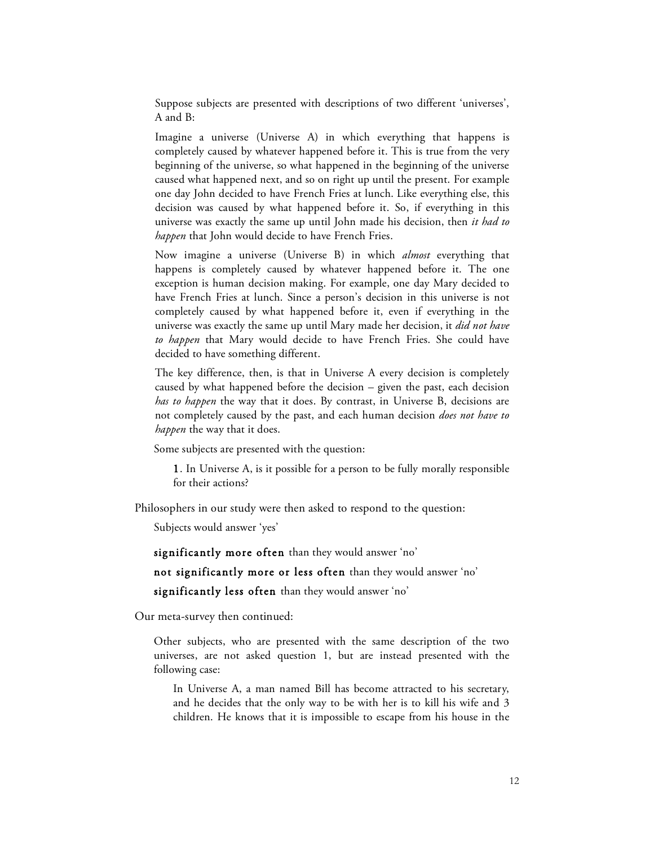Suppose subjects are presented with descriptions of two different 'universes', A and B:

Imagine a universe (Universe A) in which everything that happens is completely caused by whatever happened before it. This is true from the very beginning of the universe, so what happened in the beginning of the universe caused what happened next, and so on right up until the present. For example one day John decided to have French Fries at lunch. Like everything else, this decision was caused by what happened before it. So, if everything in this universe was exactly the same up until John made his decision, then *it had to happen* that John would decide to have French Fries.

Now imagine a universe (Universe B) in which *almost* everything that happens is completely caused by whatever happened before it. The one exception is human decision making. For example, one day Mary decided to have French Fries at lunch. Since a person's decision in this universe is not completely caused by what happened before it, even if everything in the universe was exactly the same up until Mary made her decision, it *did not have to happen* that Mary would decide to have French Fries. She could have decided to have something different.

The key difference, then, is that in Universe A every decision is completely caused by what happened before the decision – given the past, each decision *has to happen* the way that it does. By contrast, in Universe B, decisions are not completely caused by the past, and each human decision *does not have to happen* the way that it does.

Some subjects are presented with the question:

1. In Universe A, is it possible for a person to be fully morally responsible for their actions?

Philosophers in our study were then asked to respond to the question:

Subjects would answer 'yes'

significantly more often than they would answer 'no' not significantly more or less often than they would answer 'no' significantly less often than they would answer 'no'

Our meta-survey then continued:

Other subjects, who are presented with the same description of the two universes, are not asked question 1, but are instead presented with the following case:

In Universe A, a man named Bill has become attracted to his secretary, and he decides that the only way to be with her is to kill his wife and 3 children. He knows that it is impossible to escape from his house in the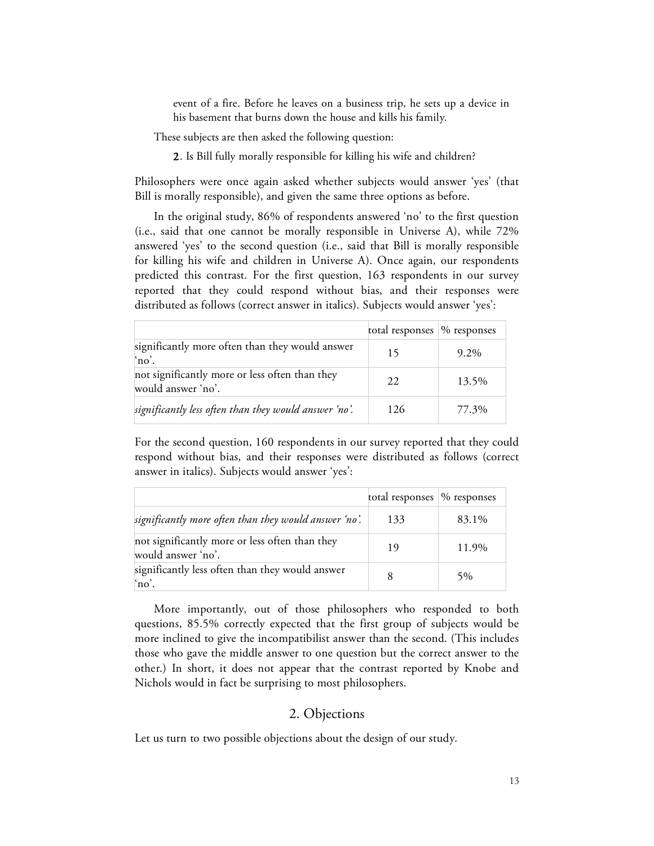event of a fire. Before he leaves on a business trip, he sets up a device in his basement that burns down the house and kills his family.

These subjects are then asked the following question:

2. Is Bill fully morally responsible for killing his wife and children?

Philosophers were once again asked whether subjects would answer 'yes' (that Bill is morally responsible), and given the same three options as before.

In the original study, 86% of respondents answered 'no' to the first question (i.e., said that one cannot be morally responsible in Universe A), while 72% answered 'yes' to the second question (i.e., said that Bill is morally responsible for killing his wife and children in Universe A). Once again, our respondents predicted this contrast. For the first question, 163 respondents in our survey reported that they could respond without bias, and their responses were distributed as follows (correct answer in italics). Subjects would answer 'yes':

|                                                                      | total responses \% responses |         |
|----------------------------------------------------------------------|------------------------------|---------|
| significantly more often than they would answer<br>$^{\circ}$ no'.   | 15                           | $9.2\%$ |
| not significantly more or less often than they<br>would answer 'no'. | 22                           | 13.5%   |
| significantly less often than they would answer 'no'.                | 126                          | 77.3%   |

For the second question, 160 respondents in our survey reported that they could respond without bias, and their responses were distributed as follows (correct answer in italics). Subjects would answer 'yes':

|                                                                      | total responses   % responses |       |
|----------------------------------------------------------------------|-------------------------------|-------|
| significantly more often than they would answer 'no'.                | 133                           | 83.1% |
| not significantly more or less often than they<br>would answer 'no'. | 19                            | 11.9% |
| significantly less often than they would answer<br>no'.              |                               | 5%    |

More importantly, out of those philosophers who responded to both questions, 85.5% correctly expected that the first group of subjects would be more inclined to give the incompatibilist answer than the second. (This includes those who gave the middle answer to one question but the correct answer to the other.) In short, it does not appear that the contrast reported by Knobe and Nichols would in fact be surprising to most philosophers.

### 2. Objections

Let us turn to two possible objections about the design of our study.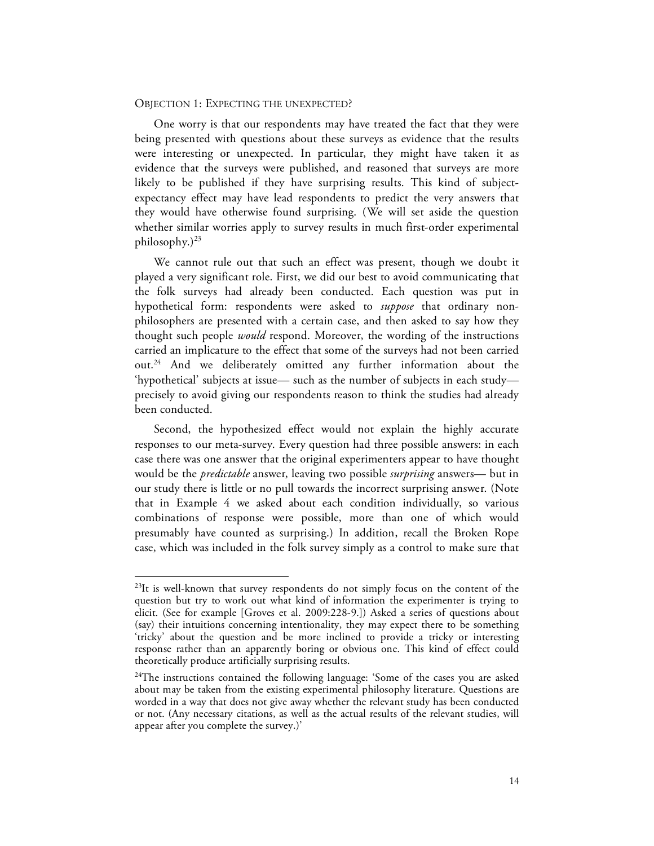#### OBJECTION 1: EXPECTING THE UNEXPECTED?

One worry is that our respondents may have treated the fact that they were being presented with questions about these surveys as evidence that the results were interesting or unexpected. In particular, they might have taken it as evidence that the surveys were published, and reasoned that surveys are more likely to be published if they have surprising results. This kind of subjectexpectancy effect may have lead respondents to predict the very answers that they would have otherwise found surprising. (We will set aside the question whether similar worries apply to survey results in much first-order experimental philosophy.) $^{23}$ 

We cannot rule out that such an effect was present, though we doubt it played a very significant role. First, we did our best to avoid communicating that the folk surveys had already been conducted. Each question was put in hypothetical form: respondents were asked to *suppose* that ordinary nonphilosophers are presented with a certain case, and then asked to say how they thought such people *would* respond. Moreover, the wording of the instructions carried an implicature to the effect that some of the surveys had not been carried out.24 And we deliberately omitted any further information about the 'hypothetical' subjects at issue— such as the number of subjects in each study precisely to avoid giving our respondents reason to think the studies had already been conducted.

Second, the hypothesized effect would not explain the highly accurate responses to our meta-survey. Every question had three possible answers: in each case there was one answer that the original experimenters appear to have thought would be the *predictable* answer, leaving two possible *surprising* answers— but in our study there is little or no pull towards the incorrect surprising answer. (Note that in Example 4 we asked about each condition individually, so various combinations of response were possible, more than one of which would presumably have counted as surprising.) In addition, recall the Broken Rope case, which was included in the folk survey simply as a control to make sure that

 $^{23}$ It is well-known that survey respondents do not simply focus on the content of the question but try to work out what kind of information the experimenter is trying to elicit. (See for example [Groves et al. 2009:228-9.]) Asked a series of questions about (say) their intuitions concerning intentionality, they may expect there to be something 'tricky' about the question and be more inclined to provide a tricky or interesting response rather than an apparently boring or obvious one. This kind of effect could theoretically produce artificially surprising results.

<sup>&</sup>lt;sup>24</sup>The instructions contained the following language: 'Some of the cases you are asked about may be taken from the existing experimental philosophy literature. Questions are worded in a way that does not give away whether the relevant study has been conducted or not. (Any necessary citations, as well as the actual results of the relevant studies, will appear after you complete the survey.)'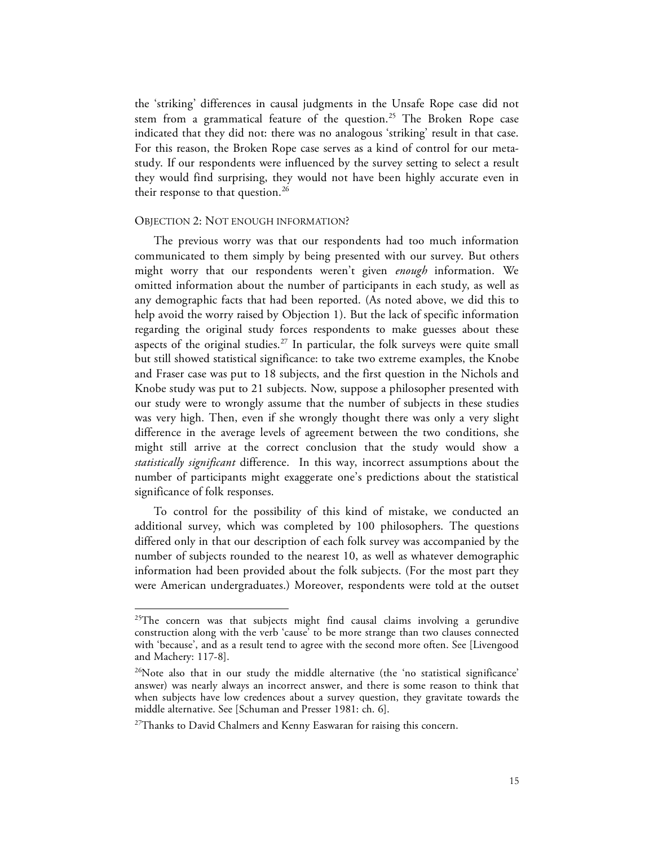the 'striking' differences in causal judgments in the Unsafe Rope case did not stem from a grammatical feature of the question.<sup>25</sup> The Broken Rope case indicated that they did not: there was no analogous 'striking' result in that case. For this reason, the Broken Rope case serves as a kind of control for our metastudy. If our respondents were influenced by the survey setting to select a result they would find surprising, they would not have been highly accurate even in their response to that question.<sup>26</sup>

#### OBJECTION 2: NOT ENOUGH INFORMATION?

The previous worry was that our respondents had too much information communicated to them simply by being presented with our survey. But others might worry that our respondents weren't given *enough* information. We omitted information about the number of participants in each study, as well as any demographic facts that had been reported. (As noted above, we did this to help avoid the worry raised by Objection 1). But the lack of specific information regarding the original study forces respondents to make guesses about these aspects of the original studies.<sup>27</sup> In particular, the folk surveys were quite small but still showed statistical significance: to take two extreme examples, the Knobe and Fraser case was put to 18 subjects, and the first question in the Nichols and Knobe study was put to 21 subjects. Now, suppose a philosopher presented with our study were to wrongly assume that the number of subjects in these studies was very high. Then, even if she wrongly thought there was only a very slight difference in the average levels of agreement between the two conditions, she might still arrive at the correct conclusion that the study would show a *statistically significant* difference. In this way, incorrect assumptions about the number of participants might exaggerate one's predictions about the statistical significance of folk responses.

To control for the possibility of this kind of mistake, we conducted an additional survey, which was completed by 100 philosophers. The questions differed only in that our description of each folk survey was accompanied by the number of subjects rounded to the nearest 10, as well as whatever demographic information had been provided about the folk subjects. (For the most part they were American undergraduates.) Moreover, respondents were told at the outset

<sup>&</sup>lt;sup>25</sup>The concern was that subjects might find causal claims involving a gerundive construction along with the verb 'cause' to be more strange than two clauses connected with 'because', and as a result tend to agree with the second more often. See [Livengood and Machery: 117-8].

<sup>&</sup>lt;sup>26</sup>Note also that in our study the middle alternative (the 'no statistical significance' answer) was nearly always an incorrect answer, and there is some reason to think that when subjects have low credences about a survey question, they gravitate towards the middle alternative. See [Schuman and Presser 1981: ch. 6].

 $27$ Thanks to David Chalmers and Kenny Easwaran for raising this concern.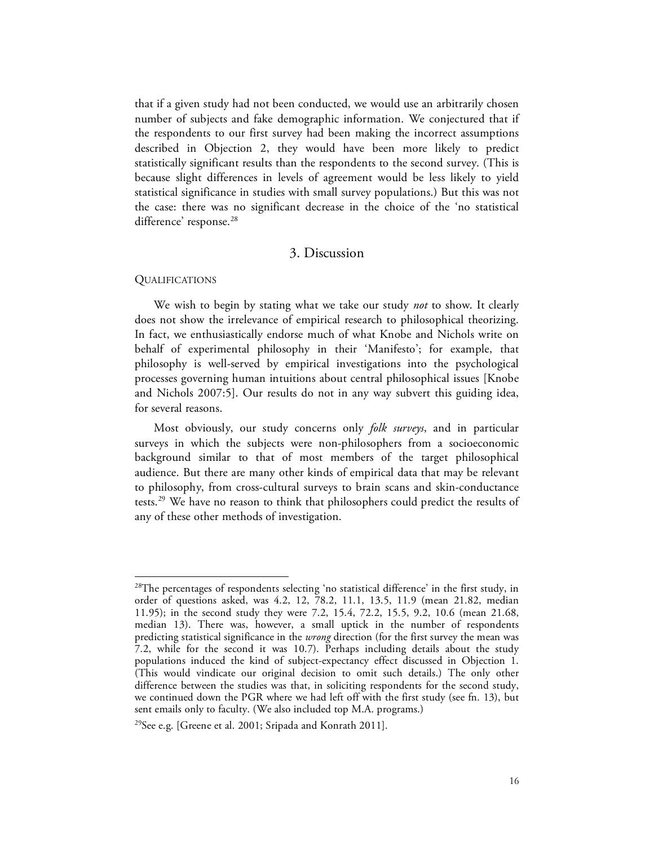that if a given study had not been conducted, we would use an arbitrarily chosen number of subjects and fake demographic information. We conjectured that if the respondents to our first survey had been making the incorrect assumptions described in Objection 2, they would have been more likely to predict statistically significant results than the respondents to the second survey. (This is because slight differences in levels of agreement would be less likely to yield statistical significance in studies with small survey populations.) But this was not the case: there was no significant decrease in the choice of the 'no statistical difference' response.<sup>28</sup>

# 3. Discussion

#### **QUALIFICATIONS**

We wish to begin by stating what we take our study *not* to show. It clearly does not show the irrelevance of empirical research to philosophical theorizing. In fact, we enthusiastically endorse much of what Knobe and Nichols write on behalf of experimental philosophy in their 'Manifesto'; for example, that philosophy is well-served by empirical investigations into the psychological processes governing human intuitions about central philosophical issues [Knobe and Nichols 2007:5]. Our results do not in any way subvert this guiding idea, for several reasons.

Most obviously, our study concerns only *folk surveys*, and in particular surveys in which the subjects were non-philosophers from a socioeconomic background similar to that of most members of the target philosophical audience. But there are many other kinds of empirical data that may be relevant to philosophy, from cross-cultural surveys to brain scans and skin-conductance tests.<sup>29</sup> We have no reason to think that philosophers could predict the results of any of these other methods of investigation.

 $28$ The percentages of respondents selecting 'no statistical difference' in the first study, in order of questions asked, was 4.2, 12, 78.2, 11.1, 13.5, 11.9 (mean 21.82, median 11.95); in the second study they were 7.2, 15.4, 72.2, 15.5, 9.2, 10.6 (mean 21.68, median 13). There was, however, a small uptick in the number of respondents predicting statistical significance in the *wrong* direction (for the first survey the mean was 7.2, while for the second it was 10.7). Perhaps including details about the study populations induced the kind of subject-expectancy effect discussed in Objection 1. (This would vindicate our original decision to omit such details.) The only other difference between the studies was that, in soliciting respondents for the second study, we continued down the PGR where we had left off with the first study (see fn. 13), but sent emails only to faculty. (We also included top M.A. programs.)

<sup>29</sup>See e.g. [Greene et al. 2001; Sripada and Konrath 2011].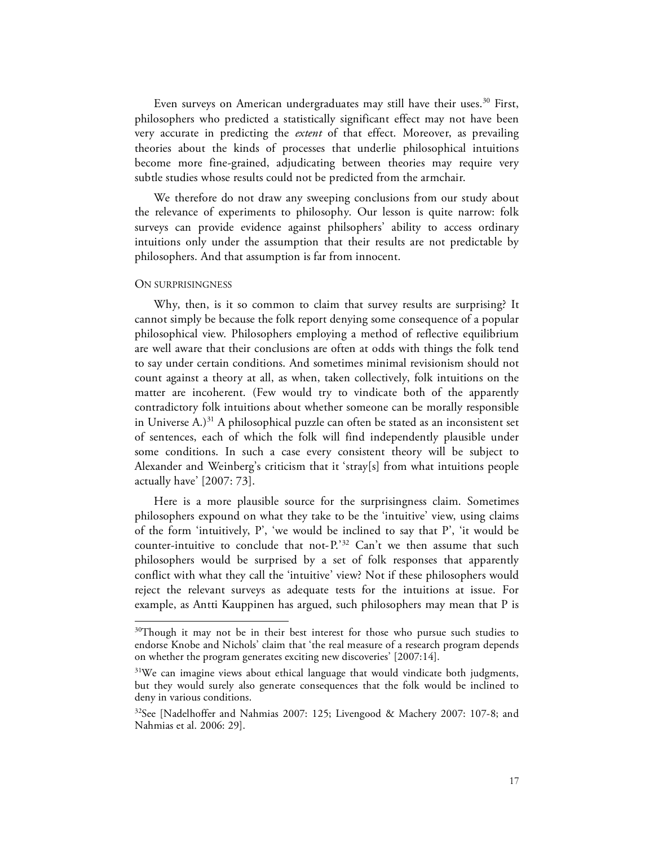Even surveys on American undergraduates may still have their uses.<sup>30</sup> First, philosophers who predicted a statistically significant effect may not have been very accurate in predicting the *extent* of that effect. Moreover, as prevailing theories about the kinds of processes that underlie philosophical intuitions become more fine-grained, adjudicating between theories may require very subtle studies whose results could not be predicted from the armchair.

We therefore do not draw any sweeping conclusions from our study about the relevance of experiments to philosophy. Our lesson is quite narrow: folk surveys can provide evidence against philsophers' ability to access ordinary intuitions only under the assumption that their results are not predictable by philosophers. And that assumption is far from innocent.

#### ON SURPRISINGNESS

Why, then, is it so common to claim that survey results are surprising? It cannot simply be because the folk report denying some consequence of a popular philosophical view. Philosophers employing a method of reflective equilibrium are well aware that their conclusions are often at odds with things the folk tend to say under certain conditions. And sometimes minimal revisionism should not count against a theory at all, as when, taken collectively, folk intuitions on the matter are incoherent. (Few would try to vindicate both of the apparently contradictory folk intuitions about whether someone can be morally responsible in Universe  $A$ .)<sup>31</sup> A philosophical puzzle can often be stated as an inconsistent set of sentences, each of which the folk will find independently plausible under some conditions. In such a case every consistent theory will be subject to Alexander and Weinberg's criticism that it 'stray[s] from what intuitions people actually have' [2007: 73].

Here is a more plausible source for the surprisingness claim. Sometimes philosophers expound on what they take to be the 'intuitive' view, using claims of the form 'intuitively, P', 'we would be inclined to say that P', 'it would be counter-intuitive to conclude that not- $P$ .<sup>32</sup> Can't we then assume that such philosophers would be surprised by a set of folk responses that apparently conflict with what they call the 'intuitive' view? Not if these philosophers would reject the relevant surveys as adequate tests for the intuitions at issue. For example, as Antti Kauppinen has argued, such philosophers may mean that P is

 $30$ Though it may not be in their best interest for those who pursue such studies to endorse Knobe and Nichols' claim that 'the real measure of a research program depends on whether the program generates exciting new discoveries' [2007:14].

 $31$ We can imagine views about ethical language that would vindicate both judgments, but they would surely also generate consequences that the folk would be inclined to deny in various conditions.

 $32$ See [Nadelhoffer and Nahmias 2007: 125; Livengood & Machery 2007: 107-8; and Nahmias et al. 2006: 29].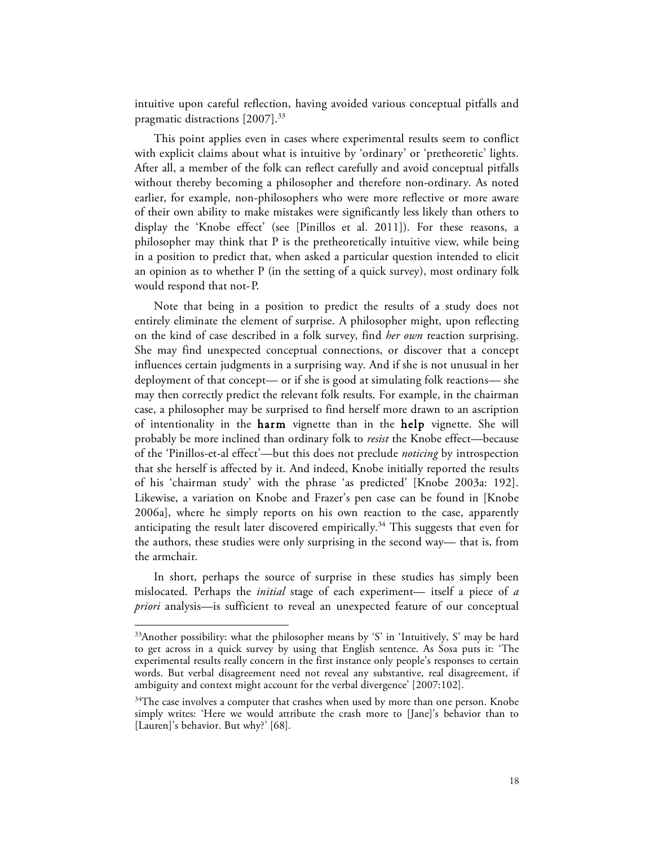intuitive upon careful reflection, having avoided various conceptual pitfalls and pragmatic distractions [2007]. 33

This point applies even in cases where experimental results seem to conflict with explicit claims about what is intuitive by 'ordinary' or 'pretheoretic' lights. After all, a member of the folk can reflect carefully and avoid conceptual pitfalls without thereby becoming a philosopher and therefore non-ordinary. As noted earlier, for example, non-philosophers who were more reflective or more aware of their own ability to make mistakes were significantly less likely than others to display the 'Knobe effect' (see [Pinillos et al. 2011]). For these reasons, a philosopher may think that P is the pretheoretically intuitive view, while being in a position to predict that, when asked a particular question intended to elicit an opinion as to whether P (in the setting of a quick survey), most ordinary folk would respond that not-P.

Note that being in a position to predict the results of a study does not entirely eliminate the element of surprise. A philosopher might, upon reflecting on the kind of case described in a folk survey, find *her own* reaction surprising. She may find unexpected conceptual connections, or discover that a concept influences certain judgments in a surprising way. And if she is not unusual in her deployment of that concept— or if she is good at simulating folk reactions— she may then correctly predict the relevant folk results. For example, in the chairman case, a philosopher may be surprised to find herself more drawn to an ascription of intentionality in the harm vignette than in the help vignette. She will probably be more inclined than ordinary folk to *resist* the Knobe effect—because of the 'Pinillos-et-al effect'—but this does not preclude *noticing* by introspection that she herself is affected by it. And indeed, Knobe initially reported the results of his 'chairman study' with the phrase 'as predicted' [Knobe 2003a: 192]. Likewise, a variation on Knobe and Frazer's pen case can be found in [Knobe 2006a], where he simply reports on his own reaction to the case, apparently anticipating the result later discovered empirically.<sup>34</sup> This suggests that even for the authors, these studies were only surprising in the second way— that is, from the armchair.

In short, perhaps the source of surprise in these studies has simply been mislocated. Perhaps the *initial* stage of each experiment— itself a piece of *a priori* analysis—is sufficient to reveal an unexpected feature of our conceptual

 $33$ Another possibility: what the philosopher means by 'S' in 'Intuitively, S' may be hard to get across in a quick survey by using that English sentence. As Sosa puts it: 'The experimental results really concern in the first instance only people's responses to certain words. But verbal disagreement need not reveal any substantive, real disagreement, if ambiguity and context might account for the verbal divergence' [2007:102].

 $34$ The case involves a computer that crashes when used by more than one person. Knobe simply writes: 'Here we would attribute the crash more to [Jane]'s behavior than to [Lauren]'s behavior. But why?' [68].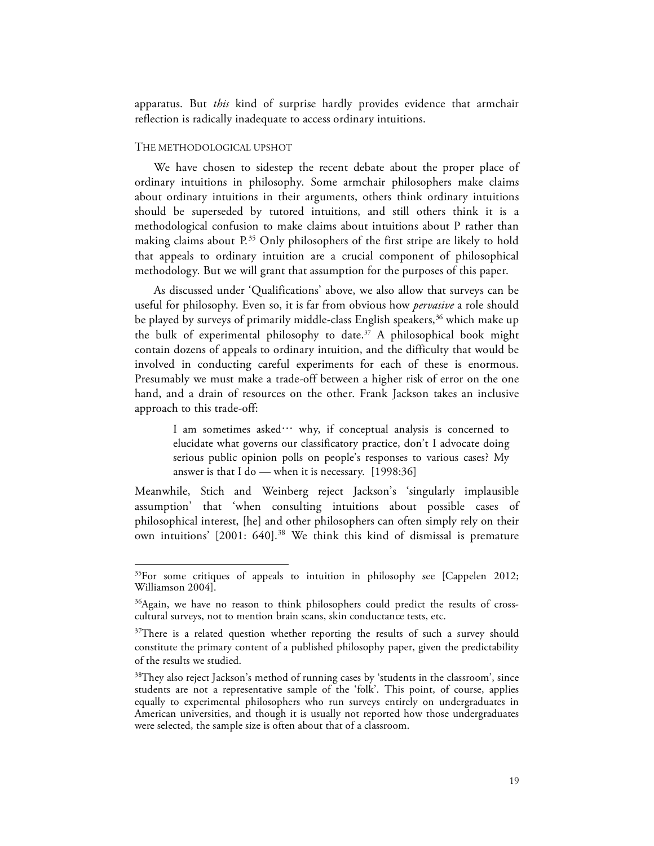apparatus. But *this* kind of surprise hardly provides evidence that armchair reflection is radically inadequate to access ordinary intuitions.

### THE METHODOLOGICAL UPSHOT

We have chosen to sidestep the recent debate about the proper place of ordinary intuitions in philosophy. Some armchair philosophers make claims about ordinary intuitions in their arguments, others think ordinary intuitions should be superseded by tutored intuitions, and still others think it is a methodological confusion to make claims about intuitions about P rather than making claims about P.<sup>35</sup> Only philosophers of the first stripe are likely to hold that appeals to ordinary intuition are a crucial component of philosophical methodology. But we will grant that assumption for the purposes of this paper.

As discussed under 'Qualifications' above, we also allow that surveys can be useful for philosophy. Even so, it is far from obvious how *pervasive* a role should be played by surveys of primarily middle-class English speakers, 36 which make up the bulk of experimental philosophy to date.<sup>37</sup> A philosophical book might contain dozens of appeals to ordinary intuition, and the difficulty that would be involved in conducting careful experiments for each of these is enormous. Presumably we must make a trade-off between a higher risk of error on the one hand, and a drain of resources on the other. Frank Jackson takes an inclusive approach to this trade-off:

I am sometimes asked $\cdots$  why, if conceptual analysis is concerned to elucidate what governs our classificatory practice, don't I advocate doing serious public opinion polls on people's responses to various cases? My answer is that I do — when it is necessary. [1998:36]

Meanwhile, Stich and Weinberg reject Jackson's 'singularly implausible assumption' that 'when consulting intuitions about possible cases of philosophical interest, [he] and other philosophers can often simply rely on their own intuitions' [2001: 640].<sup>38</sup> We think this kind of dismissal is premature

 $35$ For some critiques of appeals to intuition in philosophy see [Cappelen 2012; Williamson 2004].

<sup>&</sup>lt;sup>36</sup>Again, we have no reason to think philosophers could predict the results of crosscultural surveys, not to mention brain scans, skin conductance tests, etc.

 $37$ There is a related question whether reporting the results of such a survey should constitute the primary content of a published philosophy paper, given the predictability of the results we studied.

<sup>&</sup>lt;sup>38</sup>They also reject Jackson's method of running cases by 'students in the classroom', since students are not a representative sample of the 'folk'. This point, of course, applies equally to experimental philosophers who run surveys entirely on undergraduates in American universities, and though it is usually not reported how those undergraduates were selected, the sample size is often about that of a classroom.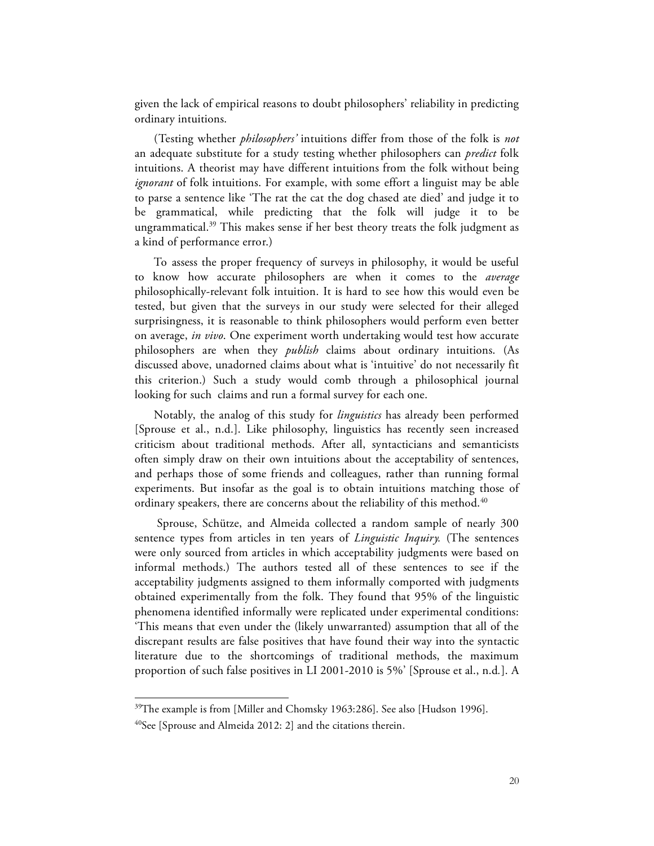given the lack of empirical reasons to doubt philosophers' reliability in predicting ordinary intuitions.

(Testing whether *philosophers'* intuitions differ from those of the folk is *not* an adequate substitute for a study testing whether philosophers can *predict* folk intuitions. A theorist may have different intuitions from the folk without being *ignorant* of folk intuitions. For example, with some effort a linguist may be able to parse a sentence like 'The rat the cat the dog chased ate died' and judge it to be grammatical, while predicting that the folk will judge it to be ungrammatical.<sup>39</sup> This makes sense if her best theory treats the folk judgment as a kind of performance error.)

To assess the proper frequency of surveys in philosophy, it would be useful to know how accurate philosophers are when it comes to the *average* philosophically-relevant folk intuition. It is hard to see how this would even be tested, but given that the surveys in our study were selected for their alleged surprisingness, it is reasonable to think philosophers would perform even better on average, *in vivo*. One experiment worth undertaking would test how accurate philosophers are when they *publish* claims about ordinary intuitions. (As discussed above, unadorned claims about what is 'intuitive' do not necessarily fit this criterion.) Such a study would comb through a philosophical journal looking for such claims and run a formal survey for each one.

Notably, the analog of this study for *linguistics* has already been performed [Sprouse et al., n.d.]. Like philosophy, linguistics has recently seen increased criticism about traditional methods. After all, syntacticians and semanticists often simply draw on their own intuitions about the acceptability of sentences, and perhaps those of some friends and colleagues, rather than running formal experiments. But insofar as the goal is to obtain intuitions matching those of ordinary speakers, there are concerns about the reliability of this method.<sup>40</sup>

 Sprouse, Schütze, and Almeida collected a random sample of nearly 300 sentence types from articles in ten years of *Linguistic Inquiry.* (The sentences were only sourced from articles in which acceptability judgments were based on informal methods.) The authors tested all of these sentences to see if the acceptability judgments assigned to them informally comported with judgments obtained experimentally from the folk. They found that 95% of the linguistic phenomena identified informally were replicated under experimental conditions: 'This means that even under the (likely unwarranted) assumption that all of the discrepant results are false positives that have found their way into the syntactic literature due to the shortcomings of traditional methods, the maximum proportion of such false positives in LI 2001-2010 is 5%' [Sprouse et al., n.d*.*]. A

<sup>39</sup>The example is from [Miller and Chomsky 1963:286]. See also [Hudson 1996].

 $40$ See [Sprouse and Almeida 2012: 2] and the citations therein.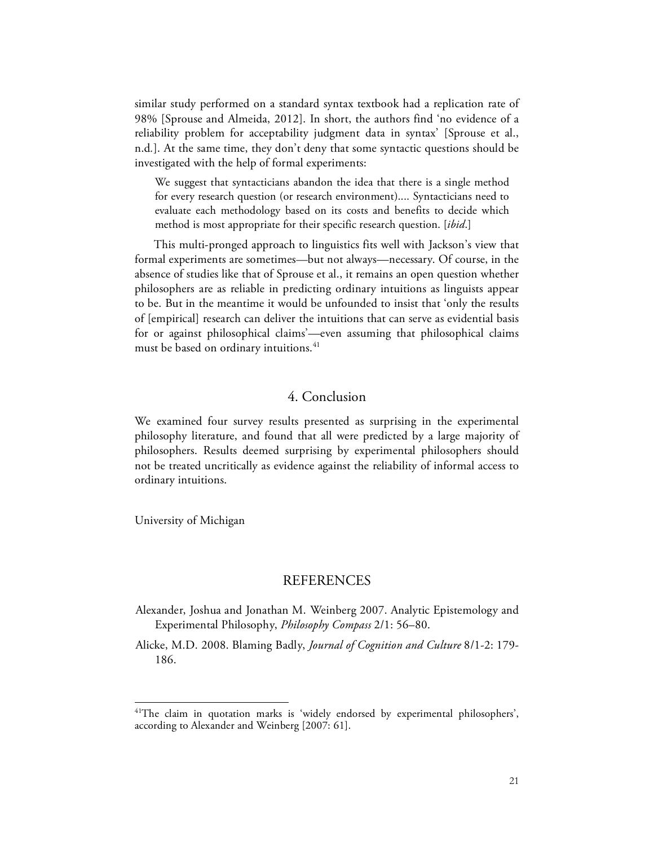similar study performed on a standard syntax textbook had a replication rate of 98% [Sprouse and Almeida, 2012]. In short, the authors find 'no evidence of a reliability problem for acceptability judgment data in syntax' [Sprouse et al., n.d*.*]. At the same time, they don't deny that some syntactic questions should be investigated with the help of formal experiments:

We suggest that syntacticians abandon the idea that there is a single method for every research question (or research environment).... Syntacticians need to evaluate each methodology based on its costs and benefits to decide which method is most appropriate for their specific research question. [*ibid*.]

This multi-pronged approach to linguistics fits well with Jackson's view that formal experiments are sometimes—but not always—necessary. Of course, in the absence of studies like that of Sprouse et al., it remains an open question whether philosophers are as reliable in predicting ordinary intuitions as linguists appear to be. But in the meantime it would be unfounded to insist that 'only the results of [empirical] research can deliver the intuitions that can serve as evidential basis for or against philosophical claims'—even assuming that philosophical claims must be based on ordinary intuitions.<sup>41</sup>

# 4. Conclusion

We examined four survey results presented as surprising in the experimental philosophy literature, and found that all were predicted by a large majority of philosophers. Results deemed surprising by experimental philosophers should not be treated uncritically as evidence against the reliability of informal access to ordinary intuitions.

University of Michigan

### REFERENCES

Alexander, Joshua and Jonathan M. Weinberg 2007. Analytic Epistemology and Experimental Philosophy, *Philosophy Compass* 2/1: 56–80.

Alicke, M.D. 2008. Blaming Badly, *Journal of Cognition and Culture* 8/1-2: 179- 186.

<sup>&</sup>lt;sup>41</sup>The claim in quotation marks is 'widely endorsed by experimental philosophers', according to Alexander and Weinberg [2007: 61].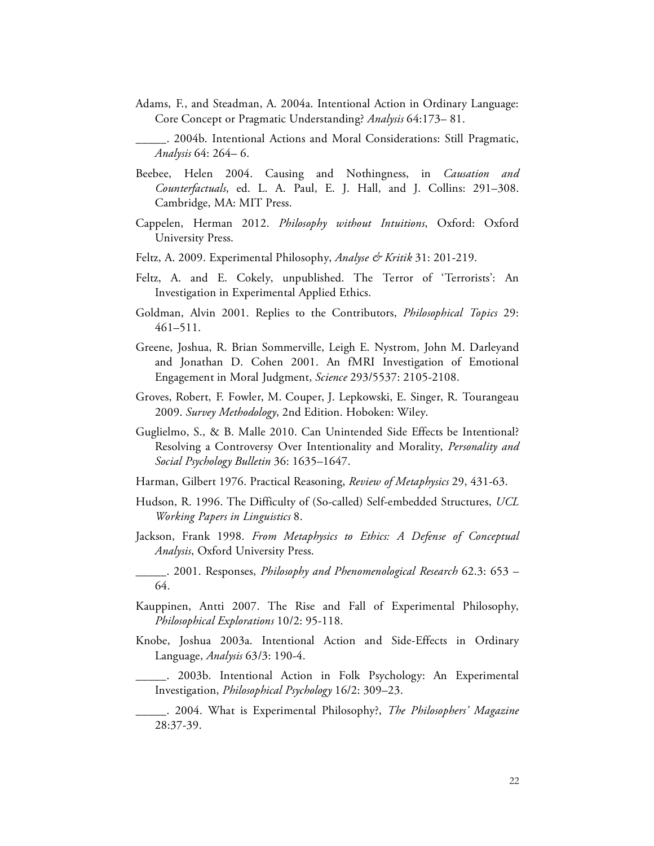- Adams, F., and Steadman, A. 2004a. Intentional Action in Ordinary Language: Core Concept or Pragmatic Understanding? *Analysis* 64:173– 81.
	- \_\_\_\_\_. 2004b. Intentional Actions and Moral Considerations: Still Pragmatic, *Analysis* 64: 264– 6.
- Beebee, Helen 2004. Causing and Nothingness, in *Causation and Counterfactuals*, ed. L. A. Paul, E. J. Hall, and J. Collins: 291–308. Cambridge, MA: MIT Press.
- Cappelen, Herman 2012. *Philosophy without Intuitions*, Oxford: Oxford University Press.
- Feltz, A. 2009. Experimental Philosophy, *Analyse & Kritik* 31: 201-219.
- Feltz, A. and E. Cokely, unpublished. The Terror of 'Terrorists': An Investigation in Experimental Applied Ethics.
- Goldman, Alvin 2001. Replies to the Contributors, *Philosophical Topics* 29: 461–511.
- Greene, Joshua, R. Brian Sommerville, Leigh E. Nystrom, John M. Darleyand and Jonathan D. Cohen 2001. An fMRI Investigation of Emotional Engagement in Moral Judgment, *Science* 293/5537: 2105-2108.
- Groves, Robert, F. Fowler, M. Couper, J. Lepkowski, E. Singer, R. Tourangeau 2009. *Survey Methodology*, 2nd Edition. Hoboken: Wiley.
- Guglielmo, S., & B. Malle 2010. Can Unintended Side Effects be Intentional? Resolving a Controversy Over Intentionality and Morality, *Personality and Social Psychology Bulletin* 36: 1635–1647.
- Harman, Gilbert 1976. Practical Reasoning, *Review of Metaphysics* 29, 431-63.
- Hudson, R. 1996. The Difficulty of (So-called) Self-embedded Structures, *UCL Working Papers in Linguistics* 8.
- Jackson, Frank 1998. *From Metaphysics to Ethics: A Defense of Conceptual Analysis*, Oxford University Press.
- \_\_\_\_\_. 2001. Responses, *Philosophy and Phenomenological Research* 62.3: 653 64.
- Kauppinen, Antti 2007. The Rise and Fall of Experimental Philosophy, *Philosophical Explorations* 10/2: 95-118.
- Knobe, Joshua 2003a. Intentional Action and Side-Effects in Ordinary Language, *Analysis* 63/3: 190-4.
- \_\_\_\_\_. 2003b. Intentional Action in Folk Psychology: An Experimental Investigation, *Philosophical Psychology* 16/2: 309–23.
- \_\_\_\_\_. 2004. What is Experimental Philosophy?, *The Philosophers' Magazine* 28:37-39.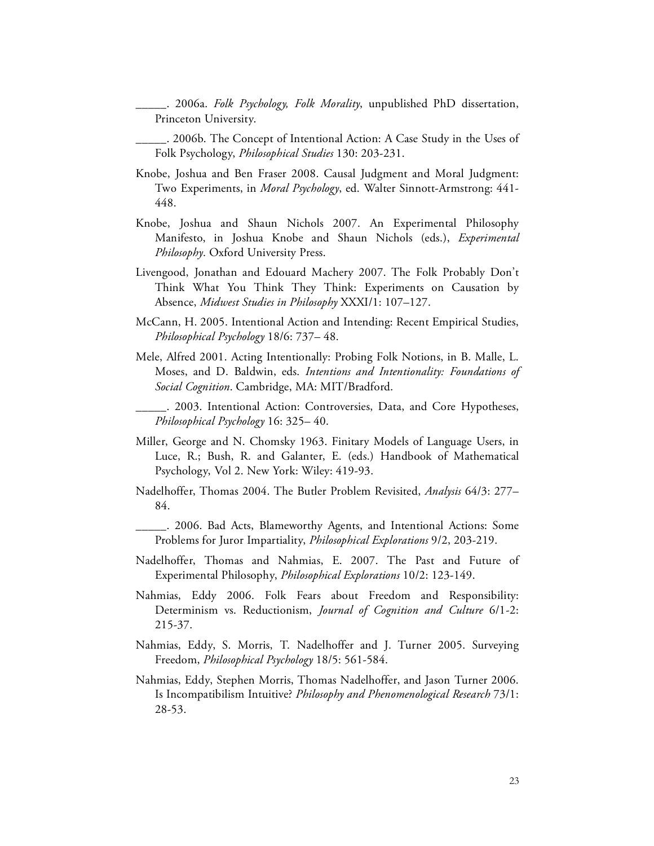\_\_\_\_\_. 2006a. *Folk Psychology, Folk Morality*, unpublished PhD dissertation, Princeton University.

- \_\_\_\_\_. 2006b. The Concept of Intentional Action: A Case Study in the Uses of Folk Psychology, *Philosophical Studies* 130: 203-231.
- Knobe, Joshua and Ben Fraser 2008. Causal Judgment and Moral Judgment: Two Experiments, in *Moral Psychology*, ed. Walter Sinnott-Armstrong: 441- 448.
- Knobe, Joshua and Shaun Nichols 2007. An Experimental Philosophy Manifesto, in Joshua Knobe and Shaun Nichols (eds.), *Experimental Philosophy*. Oxford University Press.
- Livengood, Jonathan and Edouard Machery 2007. The Folk Probably Don't Think What You Think They Think: Experiments on Causation by Absence, *Midwest Studies in Philosophy* XXXI/1: 107–127.
- McCann, H. 2005. Intentional Action and Intending: Recent Empirical Studies, *Philosophical Psychology* 18/6: 737– 48.
- Mele, Alfred 2001. Acting Intentionally: Probing Folk Notions, in B. Malle, L. Moses, and D. Baldwin, eds. *Intentions and Intentionality: Foundations of Social Cognition*. Cambridge, MA: MIT/Bradford.

\_\_\_\_\_. 2003. Intentional Action: Controversies, Data, and Core Hypotheses, *Philosophical Psychology* 16: 325– 40.

- Miller, George and N. Chomsky 1963. Finitary Models of Language Users, in Luce, R.; Bush, R. and Galanter, E. (eds.) Handbook of Mathematical Psychology, Vol 2. New York: Wiley: 419-93.
- Nadelhoffer, Thomas 2004. The Butler Problem Revisited, *Analysis* 64/3: 277– 84.
	- \_\_\_\_\_. 2006. Bad Acts, Blameworthy Agents, and Intentional Actions: Some Problems for Juror Impartiality, *Philosophical Explorations* 9/2, 203-219.
- Nadelhoffer, Thomas and Nahmias, E. 2007. The Past and Future of Experimental Philosophy, *Philosophical Explorations* 10/2: 123-149.
- Nahmias, Eddy 2006. Folk Fears about Freedom and Responsibility: Determinism vs. Reductionism, *Journal of Cognition and Culture* 6/1-2: 215-37.
- Nahmias, Eddy, S. Morris, T. Nadelhoffer and J. Turner 2005. Surveying Freedom, *Philosophical Psychology* 18/5: 561-584.
- Nahmias, Eddy, Stephen Morris, Thomas Nadelhoffer, and Jason Turner 2006. Is Incompatibilism Intuitive? *Philosophy and Phenomenological Research* 73/1: 28-53.